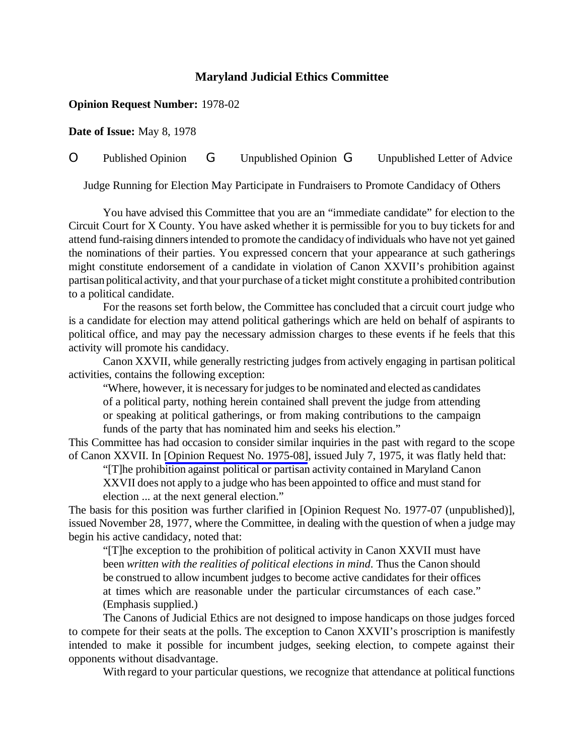## **Maryland Judicial Ethics Committee**

## **Opinion Request Number:** 1978-02

**Date of Issue:** May 8, 1978

## O Published Opinion G Unpublished Opinion G Unpublished Letter of Advice

Judge Running for Election May Participate in Fundraisers to Promote Candidacy of Others

You have advised this Committee that you are an "immediate candidate" for election to the Circuit Court for X County. You have asked whether it is permissible for you to buy tickets for and attend fund-raising dinners intended to promote the candidacy of individuals who have not yet gained the nominations of their parties. You expressed concern that your appearance at such gatherings might constitute endorsement of a candidate in violation of Canon XXVII's prohibition against partisan political activity, and that your purchase of a ticket might constitute a prohibited contribution to a political candidate.

For the reasons set forth below, the Committee has concluded that a circuit court judge who is a candidate for election may attend political gatherings which are held on behalf of aspirants to political office, and may pay the necessary admission charges to these events if he feels that this activity will promote his candidacy.

Canon XXVII, while generally restricting judges from actively engaging in partisan political activities, contains the following exception:

"Where, however, it is necessary for judges to be nominated and elected as candidates of a political party, nothing herein contained shall prevent the judge from attending or speaking at political gatherings, or from making contributions to the campaign funds of the party that has nominated him and seeks his election."

This Committee has had occasion to consider similar inquiries in the past with regard to the scope of Canon XXVII. In [\[Opinion Request No. 1975-08\]](http://www.mdcourts.gov/ethics/pdfs/1975-08.pdf), issued July 7, 1975, it was flatly held that:

"[T]he prohibition against political or partisan activity contained in Maryland Canon

XXVII does not apply to a judge who has been appointed to office and must stand for election ... at the next general election."

The basis for this position was further clarified in [Opinion Request No. 1977-07 (unpublished)], issued November 28, 1977, where the Committee, in dealing with the question of when a judge may begin his active candidacy, noted that:

"[T]he exception to the prohibition of political activity in Canon XXVII must have been *written with the realities of political elections in mind*. Thus the Canon should be construed to allow incumbent judges to become active candidates for their offices at times which are reasonable under the particular circumstances of each case." (Emphasis supplied.)

The Canons of Judicial Ethics are not designed to impose handicaps on those judges forced to compete for their seats at the polls. The exception to Canon XXVII's proscription is manifestly intended to make it possible for incumbent judges, seeking election, to compete against their opponents without disadvantage.

With regard to your particular questions, we recognize that attendance at political functions